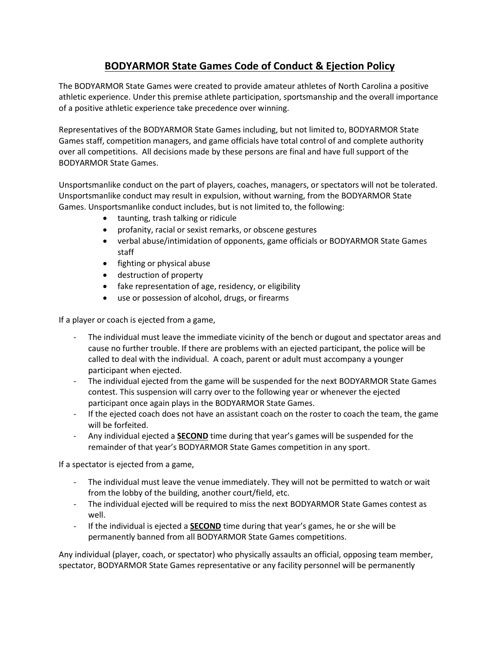## **BODYARMOR State Games Code of Conduct & Ejection Policy**

The BODYARMOR State Games were created to provide amateur athletes of North Carolina a positive athletic experience. Under this premise athlete participation, sportsmanship and the overall importance of a positive athletic experience take precedence over winning.

Representatives of the BODYARMOR State Games including, but not limited to, BODYARMOR State Games staff, competition managers, and game officials have total control of and complete authority over all competitions. All decisions made by these persons are final and have full support of the BODYARMOR State Games.

Unsportsmanlike conduct on the part of players, coaches, managers, or spectators will not be tolerated. Unsportsmanlike conduct may result in expulsion, without warning, from the BODYARMOR State Games. Unsportsmanlike conduct includes, but is not limited to, the following:

- taunting, trash talking or ridicule
- profanity, racial or sexist remarks, or obscene gestures
- verbal abuse/intimidation of opponents, game officials or BODYARMOR State Games staff
- fighting or physical abuse
- destruction of property
- fake representation of age, residency, or eligibility
- use or possession of alcohol, drugs, or firearms

If a player or coach is ejected from a game,

- The individual must leave the immediate vicinity of the bench or dugout and spectator areas and cause no further trouble. If there are problems with an ejected participant, the police will be called to deal with the individual. A coach, parent or adult must accompany a younger participant when ejected.
- The individual ejected from the game will be suspended for the next BODYARMOR State Games contest. This suspension will carry over to the following year or whenever the ejected participant once again plays in the BODYARMOR State Games.
- If the ejected coach does not have an assistant coach on the roster to coach the team, the game will be forfeited.
- Any individual ejected a **SECOND** time during that year's games will be suspended for the remainder of that year's BODYARMOR State Games competition in any sport.

If a spectator is ejected from a game,

- The individual must leave the venue immediately. They will not be permitted to watch or wait from the lobby of the building, another court/field, etc.
- The individual ejected will be required to miss the next BODYARMOR State Games contest as well.
- If the individual is ejected a **SECOND** time during that year's games, he or she will be permanently banned from all BODYARMOR State Games competitions.

Any individual (player, coach, or spectator) who physically assaults an official, opposing team member, spectator, BODYARMOR State Games representative or any facility personnel will be permanently